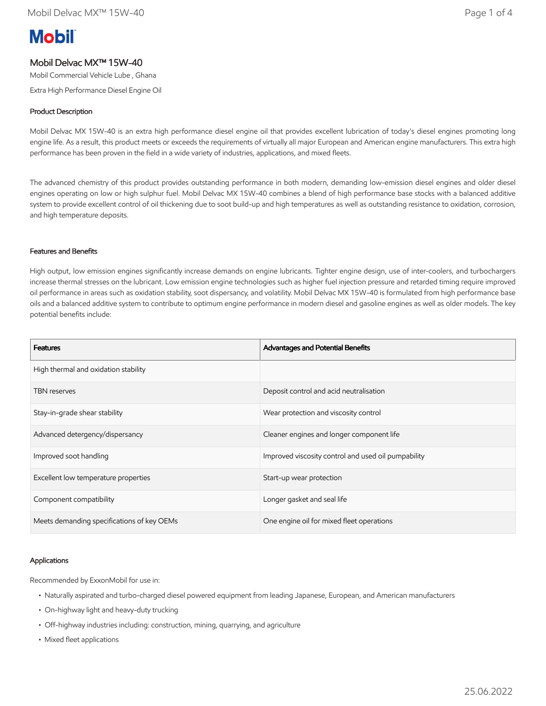# **Mobil**

# Mobil Delvac MX™ 15W-40

Mobil Commercial Vehicle Lube , Ghana

Extra High Performance Diesel Engine Oil

### Product Description

Mobil Delvac MX 15W-40 is an extra high performance diesel engine oil that provides excellent lubrication of today's diesel engines promoting long engine life. As a result, this product meets or exceeds the requirements of virtually all major European and American engine manufacturers. This extra high performance has been proven in the field in a wide variety of industries, applications, and mixed fleets.

The advanced chemistry of this product provides outstanding performance in both modern, demanding low-emission diesel engines and older diesel engines operating on low or high sulphur fuel. Mobil Delvac MX 15W-40 combines a blend of high performance base stocks with a balanced additive system to provide excellent control of oil thickening due to soot build-up and high temperatures as well as outstanding resistance to oxidation, corrosion, and high temperature deposits.

## Features and Benefits

High output, low emission engines significantly increase demands on engine lubricants. Tighter engine design, use of inter-coolers, and turbochargers increase thermal stresses on the lubricant. Low emission engine technologies such as higher fuel injection pressure and retarded timing require improved oil performance in areas such as oxidation stability, soot dispersancy, and volatility. Mobil Delvac MX 15W-40 is formulated from high performance base oils and a balanced additive system to contribute to optimum engine performance in modern diesel and gasoline engines as well as older models. The key potential benefits include:

| <b>Features</b>                            | Advantages and Potential Benefits                   |
|--------------------------------------------|-----------------------------------------------------|
| High thermal and oxidation stability       |                                                     |
| <b>TBN</b> reserves                        | Deposit control and acid neutralisation             |
| Stay-in-grade shear stability              | Wear protection and viscosity control               |
| Advanced detergency/dispersancy            | Cleaner engines and longer component life           |
| Improved soot handling                     | Improved viscosity control and used oil pumpability |
| Excellent low temperature properties       | Start-up wear protection                            |
| Component compatibility                    | Longer gasket and seal life                         |
| Meets demanding specifications of key OEMs | One engine oil for mixed fleet operations           |

#### Applications

Recommended by ExxonMobil for use in:

- Naturally aspirated and turbo-charged diesel powered equipment from leading Japanese, European, and American manufacturers
- On-highway light and heavy-duty trucking
- Off-highway industries including: construction, mining, quarrying, and agriculture
- Mixed fleet applications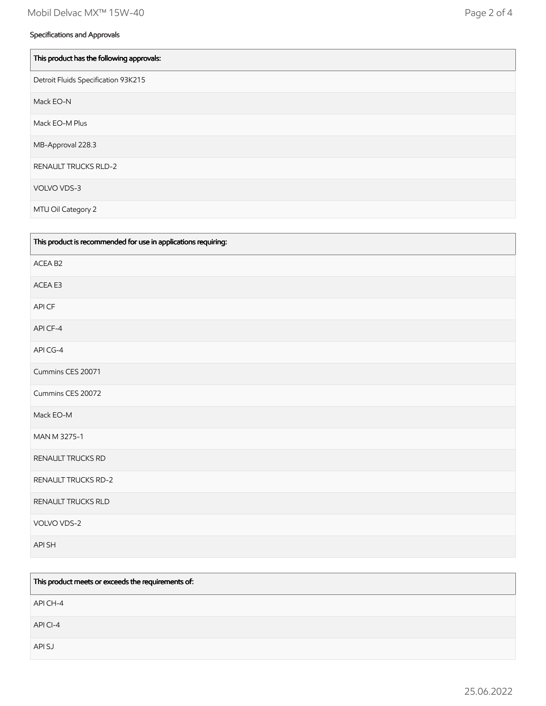| This product has the following approvals: |
|-------------------------------------------|
| Detroit Fluids Specification 93K215       |
| Mack EO-N                                 |
| Mack EO-M Plus                            |
| MB-Approval 228.3                         |
| <b>RENAULT TRUCKS RLD-2</b>               |
| VOLVO VDS-3                               |
| MTU Oil Category 2                        |

| This product is recommended for use in applications requiring: |
|----------------------------------------------------------------|
| ACEA B2                                                        |
| ACEA E3                                                        |
| API CF                                                         |
| API CF-4                                                       |
| API CG-4                                                       |
| Cummins CES 20071                                              |
| Cummins CES 20072                                              |
| Mack EO-M                                                      |
| MAN M 3275-1                                                   |
| RENAULT TRUCKS RD                                              |
| <b>RENAULT TRUCKS RD-2</b>                                     |
| RENAULT TRUCKS RLD                                             |
| VOLVO VDS-2                                                    |
| API SH                                                         |

| This product meets or exceeds the requirements of: |
|----------------------------------------------------|
| API CH-4                                           |
| API CI-4                                           |
| API SJ                                             |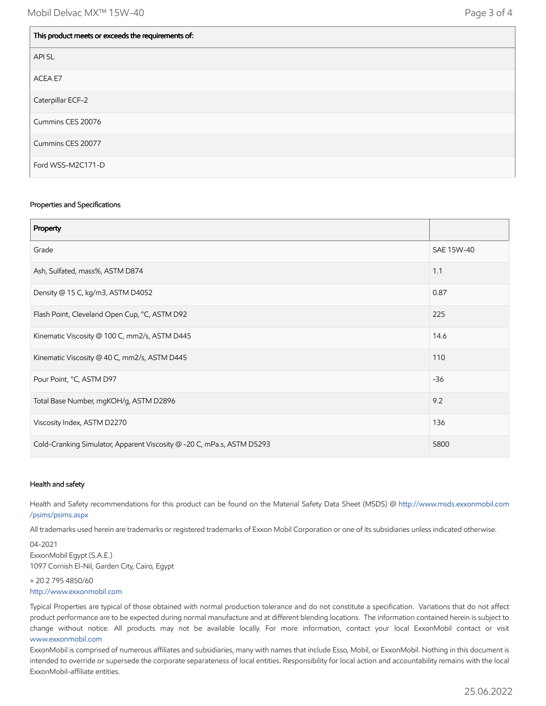| This product meets or exceeds the requirements of: |
|----------------------------------------------------|
| <b>APISL</b>                                       |
| ACEA E7                                            |
| Caterpillar ECF-2                                  |
| Cummins CES 20076                                  |
| Cummins CES 20077                                  |
| Ford WSS-M2C171-D                                  |

#### Properties and Specifications

| Property                                                               |            |
|------------------------------------------------------------------------|------------|
| Grade                                                                  | SAE 15W-40 |
| Ash, Sulfated, mass%, ASTM D874                                        | 1.1        |
| Density @ 15 C, kg/m3, ASTM D4052                                      | 0.87       |
| Flash Point, Cleveland Open Cup, °C, ASTM D92                          | 225        |
| Kinematic Viscosity @ 100 C, mm2/s, ASTM D445                          | 14.6       |
| Kinematic Viscosity @ 40 C, mm2/s, ASTM D445                           | 110        |
| Pour Point, °C, ASTM D97                                               | $-36$      |
| Total Base Number, mgKOH/g, ASTM D2896                                 | 9.2        |
| Viscosity Index, ASTM D2270                                            | 136        |
| Cold-Cranking Simulator, Apparent Viscosity @ -20 C, mPa.s, ASTM D5293 | 5800       |

### Health and safety

Health and Safety recommendations for this product can be found on the Material Safety Data Sheet (MSDS) @ [http://www.msds.exxonmobil.com](http://www.msds.exxonmobil.com/psims/psims.aspx) /psims/psims.aspx

All trademarks used herein are trademarks or registered trademarks of Exxon Mobil Corporation or one of its subsidiaries unless indicated otherwise.

04-2021 ExxonMobil Egypt (S.A.E.) 1097 Cornish El-Nil, Garden City, Cairo, Egypt

+ 20 2 795 4850/60 [http://www.exxonmobil.com](http://www.exxonmobil.com/)

Typical Properties are typical of those obtained with normal production tolerance and do not constitute a specification. Variations that do not affect product performance are to be expected during normal manufacture and at different blending locations. The information contained herein is subject to change without notice. All products may not be available locally. For more information, contact your local ExxonMobil contact or visit [www.exxonmobil.com](http://www.exxonmobil.com/)

ExxonMobil is comprised of numerous affiliates and subsidiaries, many with names that include Esso, Mobil, or ExxonMobil. Nothing in this document is intended to override or supersede the corporate separateness of local entities. Responsibility for local action and accountability remains with the local ExxonMobil-affiliate entities.